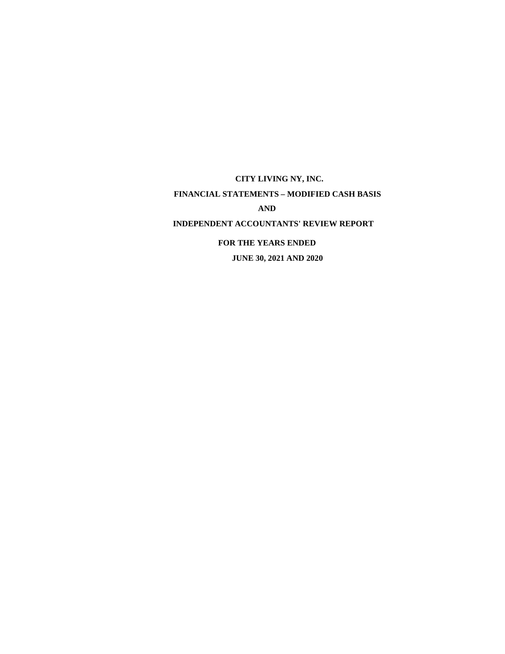**CITY LIVING NY, INC. FINANCIAL STATEMENTS – MODIFIED CASH BASIS AND INDEPENDENT ACCOUNTANTS' REVIEW REPORT FOR THE YEARS ENDED JUNE 30, 2021 AND 2020**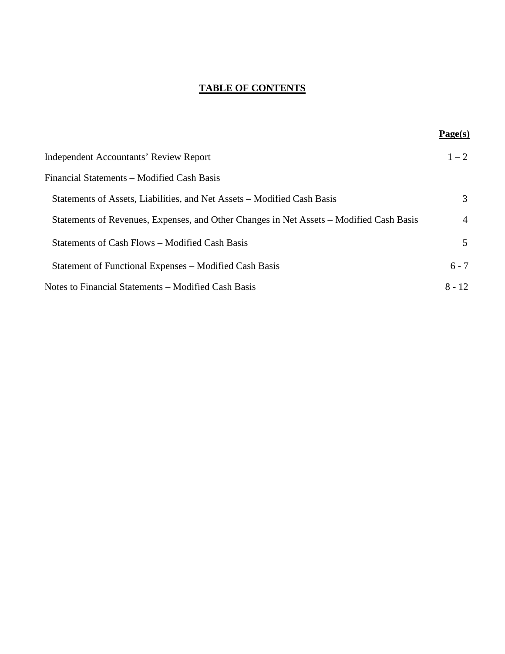# **TABLE OF CONTENTS**

|                                                                                         | Page(s)        |
|-----------------------------------------------------------------------------------------|----------------|
| Independent Accountants' Review Report                                                  | $1 - 2$        |
| Financial Statements – Modified Cash Basis                                              |                |
| Statements of Assets, Liabilities, and Net Assets – Modified Cash Basis                 | 3              |
| Statements of Revenues, Expenses, and Other Changes in Net Assets – Modified Cash Basis | $\overline{4}$ |
| Statements of Cash Flows – Modified Cash Basis                                          | 5              |
| Statement of Functional Expenses – Modified Cash Basis                                  | $6 - 7$        |
| Notes to Financial Statements – Modified Cash Basis                                     | $8 - 12$       |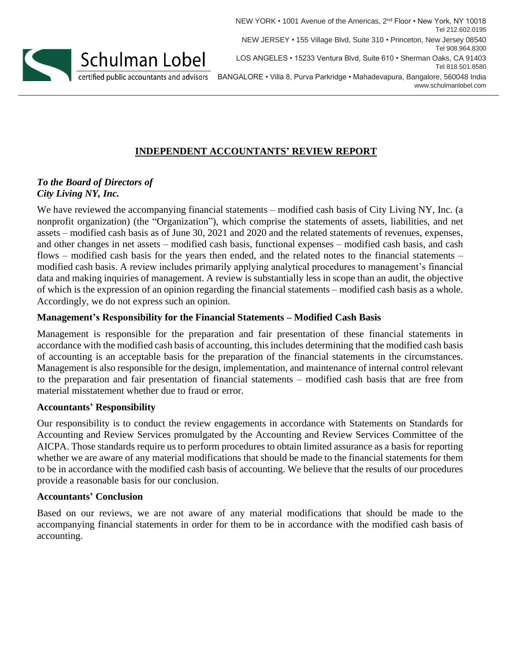

NEW YORK • 1001 Avenue of the Americas, 2<sup>nd</sup> Floor • New York, NY 10018 Tel 212.602.0195 NEW JERSEY • 155 Village Blvd, Suite 310 • Princeton, New Jersey 08540 Tel 908.964.8300 LOS ANGELES • 15233 Ventura Blvd, Suite 610 • Sherman Oaks, CA 91403 Tel 818.501.8580 BANGALORE • Villa 8, Purva Parkridge • Mahadevapura, Bangalore, 560048 India www.schulmanlobel.com

# **INDEPENDENT ACCOUNTANTS' REVIEW REPORT**

## *To the Board of Directors of City Living NY, Inc.*

We have reviewed the accompanying financial statements – modified cash basis of City Living NY, Inc. (a nonprofit organization) (the "Organization"), which comprise the statements of assets, liabilities, and net assets – modified cash basis as of June 30, 2021 and 2020 and the related statements of revenues, expenses, and other changes in net assets – modified cash basis, functional expenses – modified cash basis, and cash flows – modified cash basis for the years then ended, and the related notes to the financial statements – modified cash basis. A review includes primarily applying analytical procedures to management's financial data and making inquiries of management. A review is substantially less in scope than an audit, the objective of which is the expression of an opinion regarding the financial statements – modified cash basis as a whole. Accordingly, we do not express such an opinion.

## **Management's Responsibility for the Financial Statements – Modified Cash Basis**

Management is responsible for the preparation and fair presentation of these financial statements in accordance with the modified cash basis of accounting, this includes determining that the modified cash basis of accounting is an acceptable basis for the preparation of the financial statements in the circumstances. Management is also responsible for the design, implementation, and maintenance of internal control relevant to the preparation and fair presentation of financial statements – modified cash basis that are free from material misstatement whether due to fraud or error.

## **Accountants' Responsibility**

Our responsibility is to conduct the review engagements in accordance with Statements on Standards for Accounting and Review Services promulgated by the Accounting and Review Services Committee of the AICPA. Those standards require us to perform procedures to obtain limited assurance as a basis for reporting whether we are aware of any material modifications that should be made to the financial statements for them to be in accordance with the modified cash basis of accounting. We believe that the results of our procedures provide a reasonable basis for our conclusion.

#### **Accountants' Conclusion**

Based on our reviews, we are not aware of any material modifications that should be made to the accompanying financial statements in order for them to be in accordance with the modified cash basis of accounting.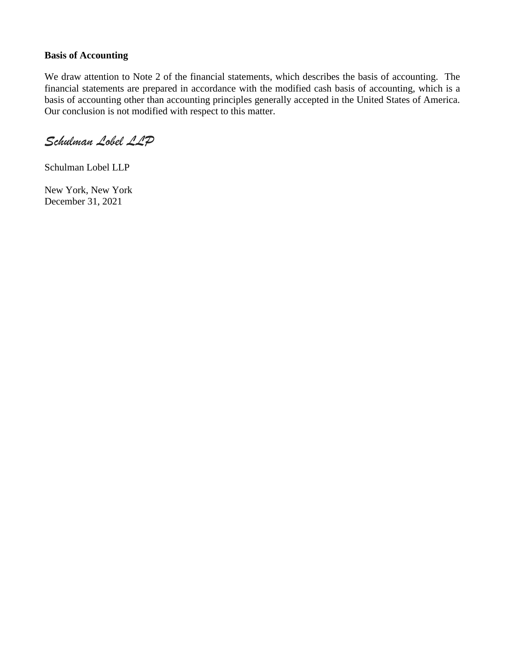### **Basis of Accounting**

We draw attention to Note 2 of the financial statements, which describes the basis of accounting. The financial statements are prepared in accordance with the modified cash basis of accounting, which is a basis of accounting other than accounting principles generally accepted in the United States of America. Our conclusion is not modified with respect to this matter.

*Schulman Lobel LLP*

Schulman Lobel LLP

New York, New York December 31, 2021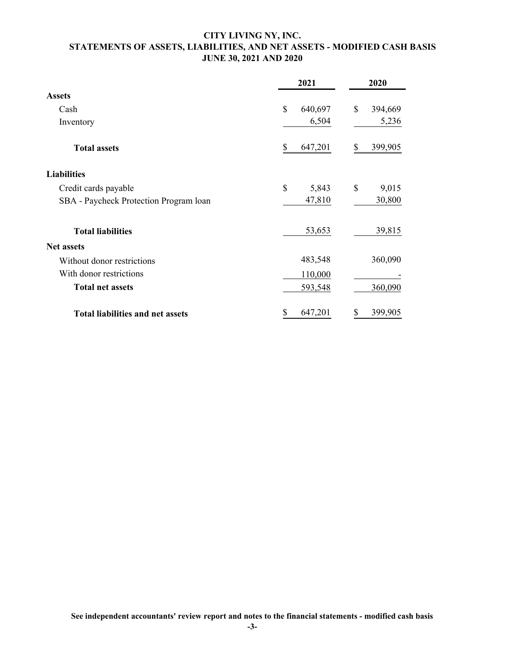### **CITY LIVING NY, INC. STATEMENTS OF ASSETS, LIABILITIES, AND NET ASSETS - MODIFIED CASH BASIS JUNE 30, 2021 AND 2020**

|                                         | 2021          | 2020          |  |
|-----------------------------------------|---------------|---------------|--|
| <b>Assets</b>                           |               |               |  |
| Cash                                    | \$<br>640,697 | \$<br>394,669 |  |
| Inventory                               | 6,504         | 5,236         |  |
| <b>Total assets</b>                     | 647,201<br>\$ | \$<br>399,905 |  |
| <b>Liabilities</b>                      |               |               |  |
| Credit cards payable                    | \$<br>5,843   | \$<br>9,015   |  |
| SBA - Paycheck Protection Program loan  | 47,810        | 30,800        |  |
| <b>Total liabilities</b>                | 53,653        | 39,815        |  |
| <b>Net assets</b>                       |               |               |  |
| Without donor restrictions              | 483,548       | 360,090       |  |
| With donor restrictions                 | 110,000       |               |  |
| <b>Total net assets</b>                 | 593,548       | 360,090       |  |
| <b>Total liabilities and net assets</b> | 647,201<br>\$ | 399,905<br>\$ |  |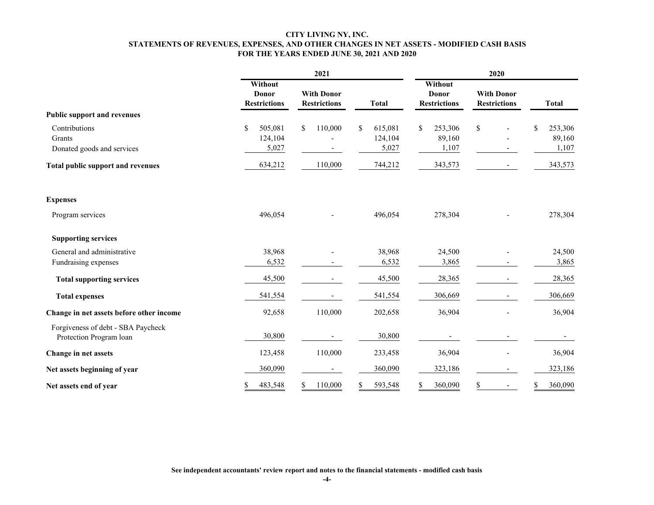#### **CITY LIVING NY, INC. STATEMENTS OF REVENUES, EXPENSES, AND OTHER CHANGES IN NET ASSETS - MODIFIED CASH BASIS FOR THE YEARS ENDED JUNE 30, 2021 AND 2020**

|                                                               |                                                | 2021                                     | 2020          |                                                |                                          |               |  |
|---------------------------------------------------------------|------------------------------------------------|------------------------------------------|---------------|------------------------------------------------|------------------------------------------|---------------|--|
|                                                               | Without<br><b>Donor</b><br><b>Restrictions</b> | <b>With Donor</b><br><b>Restrictions</b> | <b>Total</b>  | Without<br><b>Donor</b><br><b>Restrictions</b> | <b>With Donor</b><br><b>Restrictions</b> | <b>Total</b>  |  |
| <b>Public support and revenues</b>                            |                                                |                                          |               |                                                |                                          |               |  |
| Contributions                                                 | \$<br>505,081                                  | \$<br>110,000                            | \$<br>615,081 | \$<br>253,306                                  | $\mathbb{S}$                             | \$<br>253,306 |  |
| Grants                                                        | 124,104                                        |                                          | 124,104       | 89,160                                         |                                          | 89,160        |  |
| Donated goods and services                                    | 5,027                                          |                                          | 5,027         | 1,107                                          |                                          | 1,107         |  |
| <b>Total public support and revenues</b>                      | 634,212                                        | 110,000                                  | 744,212       | 343,573                                        |                                          | 343,573       |  |
| <b>Expenses</b>                                               |                                                |                                          |               |                                                |                                          |               |  |
| Program services                                              | 496,054                                        |                                          | 496,054       | 278,304                                        |                                          | 278,304       |  |
| <b>Supporting services</b>                                    |                                                |                                          |               |                                                |                                          |               |  |
| General and administrative                                    | 38,968                                         |                                          | 38,968        | 24,500                                         |                                          | 24,500        |  |
| Fundraising expenses                                          | 6,532                                          |                                          | 6,532         | 3,865                                          |                                          | 3,865         |  |
| <b>Total supporting services</b>                              | 45,500                                         |                                          | 45,500        | 28,365                                         |                                          | 28,365        |  |
| <b>Total expenses</b>                                         | 541,554                                        |                                          | 541,554       | 306,669                                        |                                          | 306,669       |  |
| Change in net assets before other income                      | 92,658                                         | 110,000                                  | 202,658       | 36,904                                         |                                          | 36,904        |  |
| Forgiveness of debt - SBA Paycheck<br>Protection Program loan | 30,800                                         |                                          | 30,800        |                                                |                                          |               |  |
| Change in net assets                                          | 123,458                                        | 110,000                                  | 233,458       | 36,904                                         |                                          | 36,904        |  |
| Net assets beginning of year                                  | 360,090                                        |                                          | 360,090       | 323,186                                        |                                          | 323,186       |  |
| Net assets end of year                                        | 483,548<br>\$                                  | 110,000<br>S.                            | 593,548<br>S. | 360,090<br>\$                                  | \$<br>$\overline{\phantom{a}}$           | 360,090<br>S  |  |

**See independent accountants' review report and notes to the financial statements - modified cash basis**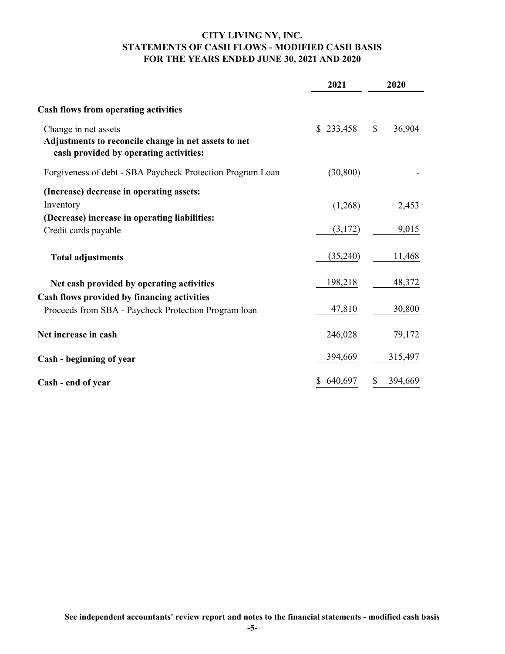## **CITY LIVING NY, INC. STATEMENTS OF CASH FLOWS - MODIFIED CASH BASIS FOR THE YEARS ENDED JUNE 30, 2021 AND 2020**

|                                                                                                                        | 2021      | 2020         |         |
|------------------------------------------------------------------------------------------------------------------------|-----------|--------------|---------|
| <b>Cash flows from operating activities</b>                                                                            |           |              |         |
| Change in net assets<br>Adjustments to reconcile change in net assets to net<br>cash provided by operating activities: | \$233,458 | $\mathbb{S}$ | 36,904  |
| Forgiveness of debt - SBA Paycheck Protection Program Loan                                                             | (30, 800) |              |         |
| (Increase) decrease in operating assets:<br>Inventory                                                                  | (1,268)   |              | 2,453   |
| (Decrease) increase in operating liabilities:<br>Credit cards payable                                                  | (3,172)   |              | 9,015   |
| <b>Total adjustments</b>                                                                                               | (35,240)  |              | 11,468  |
| Net cash provided by operating activities                                                                              | 198,218   |              | 48,372  |
| Cash flows provided by financing activities                                                                            |           |              |         |
| Proceeds from SBA - Paycheck Protection Program loan                                                                   | 47,810    |              | 30,800  |
| Net increase in cash                                                                                                   | 246,028   |              | 79,172  |
| Cash - beginning of year                                                                                               | 394,669   |              | 315,497 |
| Cash - end of year                                                                                                     | 640,697   |              | 394,669 |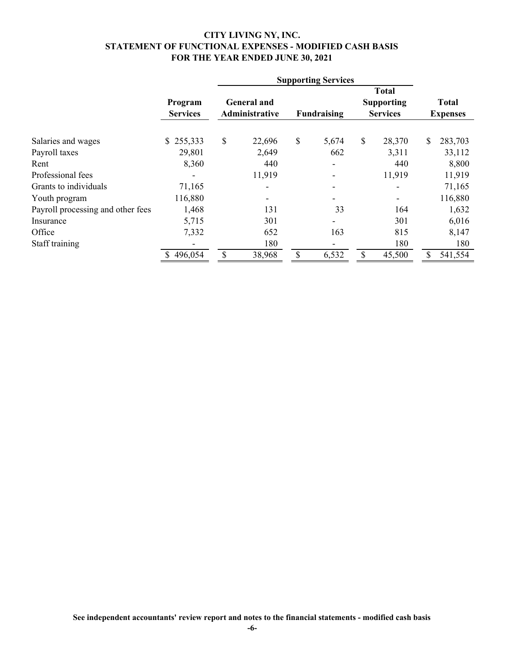#### **CITY LIVING NY, INC. STATEMENT OF FUNCTIONAL EXPENSES - MODIFIED CASH BASIS FOR THE YEAR ENDED JUNE 30, 2021**

|                                   |                            | <b>Supporting Services</b>           |        |             |       |                                                      |        |                                 |         |
|-----------------------------------|----------------------------|--------------------------------------|--------|-------------|-------|------------------------------------------------------|--------|---------------------------------|---------|
|                                   | Program<br><b>Services</b> | <b>General</b> and<br>Administrative |        | Fundraising |       | <b>Total</b><br><b>Supporting</b><br><b>Services</b> |        | <b>Total</b><br><b>Expenses</b> |         |
| Salaries and wages                | \$255,333                  | \$                                   | 22,696 | \$          | 5,674 | \$                                                   | 28,370 | \$                              | 283,703 |
| Payroll taxes                     | 29,801                     |                                      | 2,649  |             | 662   |                                                      | 3,311  |                                 | 33,112  |
| Rent                              | 8,360                      |                                      | 440    |             |       |                                                      | 440    |                                 | 8,800   |
| Professional fees                 |                            |                                      | 11,919 |             |       |                                                      | 11,919 |                                 | 11,919  |
| Grants to individuals             | 71,165                     |                                      |        |             |       |                                                      |        |                                 | 71,165  |
| Youth program                     | 116,880                    |                                      |        |             |       |                                                      |        |                                 | 116,880 |
| Payroll processing and other fees | 1,468                      |                                      | 131    |             | 33    |                                                      | 164    |                                 | 1,632   |
| Insurance                         | 5,715                      |                                      | 301    |             |       |                                                      | 301    |                                 | 6,016   |
| Office                            | 7,332                      |                                      | 652    |             | 163   |                                                      | 815    |                                 | 8,147   |
| Staff training                    |                            |                                      | 180    |             |       |                                                      | 180    |                                 | 180     |
|                                   | 496,054                    | S                                    | 38,968 |             | 6,532 | \$                                                   | 45,500 |                                 | 541,554 |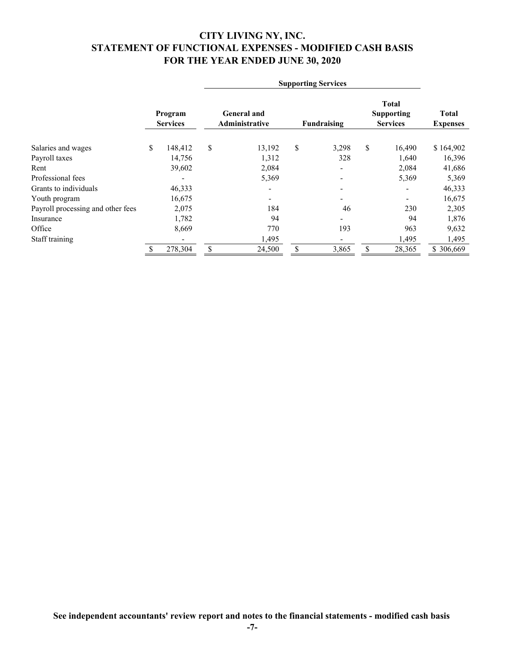## **CITY LIVING NY, INC. STATEMENT OF FUNCTIONAL EXPENSES - MODIFIED CASH BASIS FOR THE YEAR ENDED JUNE 30, 2020**

|                                   |                            |         | <b>Supporting Services</b>           |        |             |                              |                                                      |        |                                 |
|-----------------------------------|----------------------------|---------|--------------------------------------|--------|-------------|------------------------------|------------------------------------------------------|--------|---------------------------------|
|                                   | Program<br><b>Services</b> |         | <b>General</b> and<br>Administrative |        | Fundraising |                              | <b>Total</b><br><b>Supporting</b><br><b>Services</b> |        | <b>Total</b><br><b>Expenses</b> |
| Salaries and wages                | \$                         | 148,412 | \$                                   | 13,192 | \$          | 3,298                        | \$                                                   | 16,490 | \$164,902                       |
| Payroll taxes                     |                            | 14,756  |                                      | 1,312  |             | 328                          |                                                      | 1,640  | 16,396                          |
| Rent                              |                            | 39,602  |                                      | 2,084  |             | $\qquad \qquad \blacksquare$ |                                                      | 2,084  | 41,686                          |
| Professional fees                 |                            | -       |                                      | 5,369  |             | -                            |                                                      | 5,369  | 5,369                           |
| Grants to individuals             |                            | 46,333  |                                      |        |             | -                            |                                                      | -      | 46,333                          |
| Youth program                     |                            | 16,675  |                                      |        |             |                              |                                                      |        | 16,675                          |
| Payroll processing and other fees |                            | 2,075   |                                      | 184    |             | 46                           |                                                      | 230    | 2,305                           |
| Insurance                         |                            | 1,782   |                                      | 94     |             |                              |                                                      | 94     | 1,876                           |
| Office                            |                            | 8,669   |                                      | 770    |             | 193                          |                                                      | 963    | 9,632                           |
| Staff training                    |                            |         |                                      | 1,495  |             |                              |                                                      | 1,495  | 1,495                           |
|                                   |                            | 278,304 | \$                                   | 24,500 | \$          | 3,865                        | \$                                                   | 28,365 | \$306,669                       |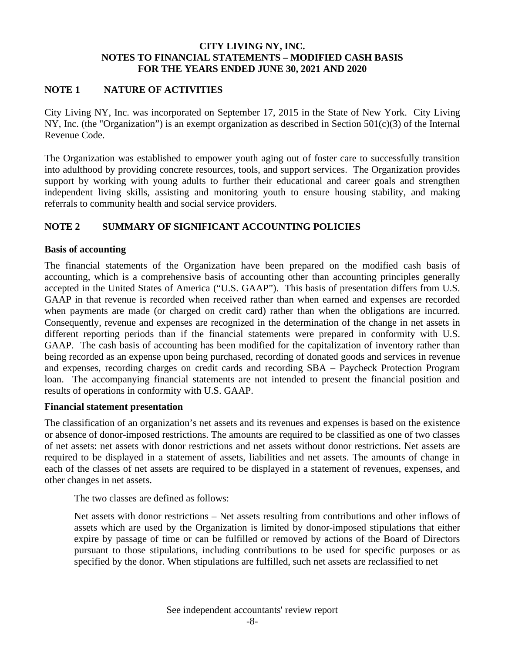### **NOTE 1 NATURE OF ACTIVITIES**

City Living NY, Inc. was incorporated on September 17, 2015 in the State of New York. City Living NY, Inc. (the "Organization") is an exempt organization as described in Section 501(c)(3) of the Internal Revenue Code.

The Organization was established to empower youth aging out of foster care to successfully transition into adulthood by providing concrete resources, tools, and support services. The Organization provides support by working with young adults to further their educational and career goals and strengthen independent living skills, assisting and monitoring youth to ensure housing stability, and making referrals to community health and social service providers.

## **NOTE 2 SUMMARY OF SIGNIFICANT ACCOUNTING POLICIES**

#### **Basis of accounting**

The financial statements of the Organization have been prepared on the modified cash basis of accounting, which is a comprehensive basis of accounting other than accounting principles generally accepted in the United States of America ("U.S. GAAP"). This basis of presentation differs from U.S. GAAP in that revenue is recorded when received rather than when earned and expenses are recorded when payments are made (or charged on credit card) rather than when the obligations are incurred. Consequently, revenue and expenses are recognized in the determination of the change in net assets in different reporting periods than if the financial statements were prepared in conformity with U.S. GAAP. The cash basis of accounting has been modified for the capitalization of inventory rather than being recorded as an expense upon being purchased, recording of donated goods and services in revenue and expenses, recording charges on credit cards and recording SBA – Paycheck Protection Program loan. The accompanying financial statements are not intended to present the financial position and results of operations in conformity with U.S. GAAP.

#### **Financial statement presentation**

The classification of an organization's net assets and its revenues and expenses is based on the existence or absence of donor-imposed restrictions. The amounts are required to be classified as one of two classes of net assets: net assets with donor restrictions and net assets without donor restrictions. Net assets are required to be displayed in a statement of assets, liabilities and net assets. The amounts of change in each of the classes of net assets are required to be displayed in a statement of revenues, expenses, and other changes in net assets.

The two classes are defined as follows:

Net assets with donor restrictions – Net assets resulting from contributions and other inflows of assets which are used by the Organization is limited by donor-imposed stipulations that either expire by passage of time or can be fulfilled or removed by actions of the Board of Directors pursuant to those stipulations, including contributions to be used for specific purposes or as specified by the donor. When stipulations are fulfilled, such net assets are reclassified to net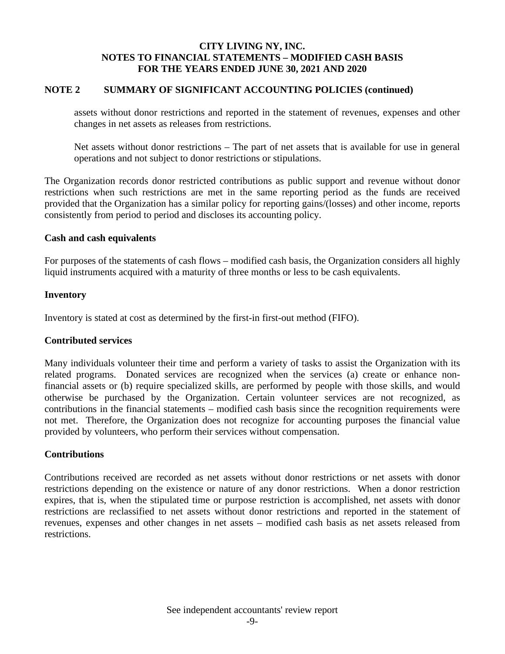### **NOTE 2 SUMMARY OF SIGNIFICANT ACCOUNTING POLICIES (continued)**

assets without donor restrictions and reported in the statement of revenues, expenses and other changes in net assets as releases from restrictions.

Net assets without donor restrictions – The part of net assets that is available for use in general operations and not subject to donor restrictions or stipulations.

The Organization records donor restricted contributions as public support and revenue without donor restrictions when such restrictions are met in the same reporting period as the funds are received provided that the Organization has a similar policy for reporting gains/(losses) and other income, reports consistently from period to period and discloses its accounting policy.

#### **Cash and cash equivalents**

For purposes of the statements of cash flows – modified cash basis, the Organization considers all highly liquid instruments acquired with a maturity of three months or less to be cash equivalents.

#### **Inventory**

Inventory is stated at cost as determined by the first-in first-out method (FIFO).

#### **Contributed services**

Many individuals volunteer their time and perform a variety of tasks to assist the Organization with its related programs. Donated services are recognized when the services (a) create or enhance nonfinancial assets or (b) require specialized skills, are performed by people with those skills, and would otherwise be purchased by the Organization. Certain volunteer services are not recognized, as contributions in the financial statements – modified cash basis since the recognition requirements were not met. Therefore, the Organization does not recognize for accounting purposes the financial value provided by volunteers, who perform their services without compensation.

#### **Contributions**

Contributions received are recorded as net assets without donor restrictions or net assets with donor restrictions depending on the existence or nature of any donor restrictions. When a donor restriction expires, that is, when the stipulated time or purpose restriction is accomplished, net assets with donor restrictions are reclassified to net assets without donor restrictions and reported in the statement of revenues, expenses and other changes in net assets – modified cash basis as net assets released from restrictions.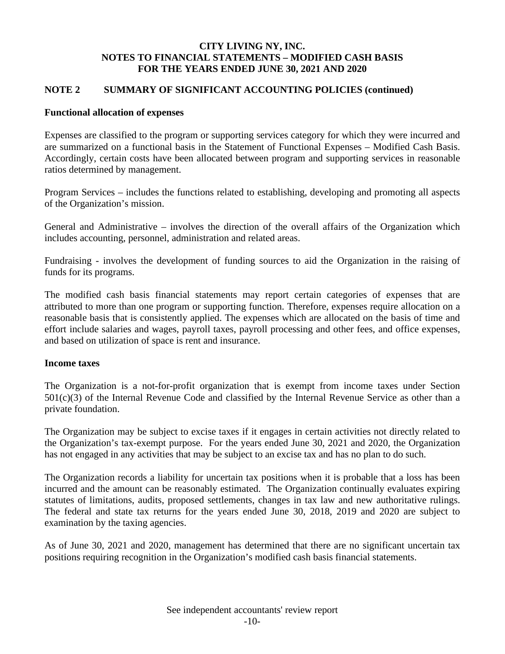## **NOTE 2 SUMMARY OF SIGNIFICANT ACCOUNTING POLICIES (continued)**

### **Functional allocation of expenses**

Expenses are classified to the program or supporting services category for which they were incurred and are summarized on a functional basis in the Statement of Functional Expenses – Modified Cash Basis. Accordingly, certain costs have been allocated between program and supporting services in reasonable ratios determined by management.

Program Services – includes the functions related to establishing, developing and promoting all aspects of the Organization's mission.

General and Administrative – involves the direction of the overall affairs of the Organization which includes accounting, personnel, administration and related areas.

Fundraising - involves the development of funding sources to aid the Organization in the raising of funds for its programs.

The modified cash basis financial statements may report certain categories of expenses that are attributed to more than one program or supporting function. Therefore, expenses require allocation on a reasonable basis that is consistently applied. The expenses which are allocated on the basis of time and effort include salaries and wages, payroll taxes, payroll processing and other fees, and office expenses, and based on utilization of space is rent and insurance.

#### **Income taxes**

The Organization is a not-for-profit organization that is exempt from income taxes under Section  $501(c)(3)$  of the Internal Revenue Code and classified by the Internal Revenue Service as other than a private foundation.

The Organization may be subject to excise taxes if it engages in certain activities not directly related to the Organization's tax-exempt purpose. For the years ended June 30, 2021 and 2020, the Organization has not engaged in any activities that may be subject to an excise tax and has no plan to do such.

The Organization records a liability for uncertain tax positions when it is probable that a loss has been incurred and the amount can be reasonably estimated. The Organization continually evaluates expiring statutes of limitations, audits, proposed settlements, changes in tax law and new authoritative rulings. The federal and state tax returns for the years ended June 30, 2018, 2019 and 2020 are subject to examination by the taxing agencies.

As of June 30, 2021 and 2020, management has determined that there are no significant uncertain tax positions requiring recognition in the Organization's modified cash basis financial statements.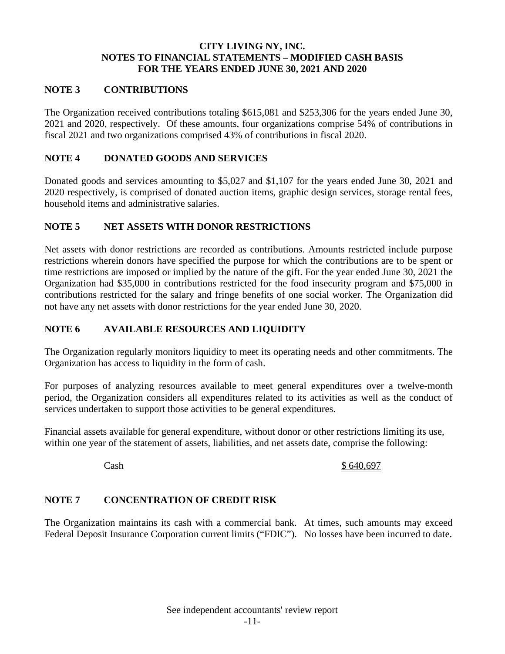### **NOTE 3 CONTRIBUTIONS**

The Organization received contributions totaling \$615,081 and \$253,306 for the years ended June 30, 2021 and 2020, respectively. Of these amounts, four organizations comprise 54% of contributions in fiscal 2021 and two organizations comprised 43% of contributions in fiscal 2020.

### **NOTE 4 DONATED GOODS AND SERVICES**

Donated goods and services amounting to \$5,027 and \$1,107 for the years ended June 30, 2021 and 2020 respectively, is comprised of donated auction items, graphic design services, storage rental fees, household items and administrative salaries.

### **NOTE 5 NET ASSETS WITH DONOR RESTRICTIONS**

Net assets with donor restrictions are recorded as contributions. Amounts restricted include purpose restrictions wherein donors have specified the purpose for which the contributions are to be spent or time restrictions are imposed or implied by the nature of the gift. For the year ended June 30, 2021 the Organization had \$35,000 in contributions restricted for the food insecurity program and \$75,000 in contributions restricted for the salary and fringe benefits of one social worker. The Organization did not have any net assets with donor restrictions for the year ended June 30, 2020.

### **NOTE 6 AVAILABLE RESOURCES AND LIQUIDITY**

The Organization regularly monitors liquidity to meet its operating needs and other commitments. The Organization has access to liquidity in the form of cash.

For purposes of analyzing resources available to meet general expenditures over a twelve-month period, the Organization considers all expenditures related to its activities as well as the conduct of services undertaken to support those activities to be general expenditures.

Financial assets available for general expenditure, without donor or other restrictions limiting its use, within one year of the statement of assets, liabilities, and net assets date, comprise the following:

#### Cash \$ 640,697

## **NOTE 7 CONCENTRATION OF CREDIT RISK**

The Organization maintains its cash with a commercial bank. At times, such amounts may exceed Federal Deposit Insurance Corporation current limits ("FDIC"). No losses have been incurred to date.